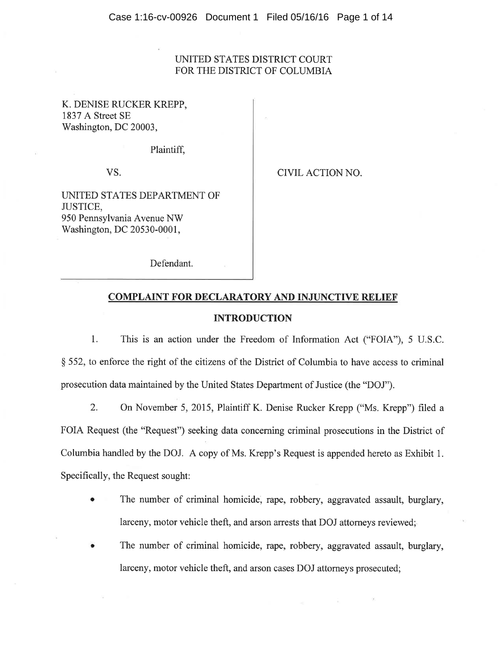# UNITED STATES DISTRICT COURT FOR THE DISTRICT OF COLUMBIA

K. DENISE RUCKER KREPP, 1837 A Street SE Washington, DC 20003,

Plaintiff,

VS.

CIVIL ACTION NO.

UNITED STATES DEPARTMENT OF JUSTICE, 950 Pennsylvania Avenue NW Washington, DC 20530-0001,

Defendant.

## COMPLAINT FOR DECLARATORY AND INJUNCTIVE RELIEF

#### INTRODUCTION

1. This is an action under the Freedom of Information Act ("FOIA"), 5 U.S.C. \$ 552, to enforce the right of the citizens of the District of Columbiato have access to criminal prosecution data maintained by the United States Department of Justice (the "DOJ").

2, On November 5, 2015, Plaintiff K. Denise Rucker Krepp ("Ms. Krepp") filed <sup>a</sup> FOIA Request (the "Request") seeking data concerning criminal prosecutions in the District of Columbia handled by the DOJ. A copy of Ms. Krepp's Request is appended hereto as Exhibit 1. Specifically, the Request sought:

- The number of criminal homicide, rape, robbery, aggravated assault, burglary, larceny, motor vehicle theft, and arson arrests that DOJ attorneys reviewed;
- The number of criminal homicide, rape, robbery, aggravated assault, burglary, larceny, motor vehicle theft, and arson cases DOJ attorneys prosecuted;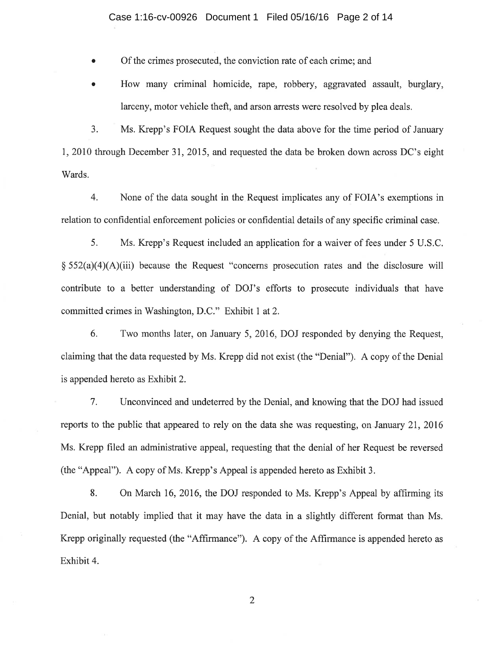#### Case 1:16-cv-00926 Document 1 Filed 05/16/16 Page 2 of 14

Of the crimes prosecuted, the conviction rate of each crime; and

How many criminal homicide, rape, robbery, aggravated assault, burglary, larceny, motor vehicle theft, and arson arrests were resolved by plea deals.

3. Ms. Krepp's FOIA Request sought the data above for the time period of January I,2010 through December 31,2015, and requested the data be broken down across DC's eight Wards.

4. None of the data sought in the Request implicates any of FOIA's exemptions in relation to confidential enforcement policies or confidential details of any specific criminal case.

5. Ms. Krepp's Request included an application for a waiver of fees under 5 U.S.C.  $\S 552(a)(4)(A)(iii)$  because the Request "concerns prosecution rates and the disclosure will contribute to a better understanding of DOJ's efforts to prosecute individuals that have committed crimes in Washington, D.C." Exhibit I at2.

6. Two months later, on January 5,2016, DOJ responded by denying the Request, claiming that the data requested by Ms. Krepp did not exist (the "Denial"). A copy of the Denial is appended hereto as Exhibit 2.

7. Unconvinced and undeterred by the Denial, and knowing that the DOJ had issued reports to the public that appeared to rely on the data she was requesting, on January 2I,2016 Ms. Krepp filed an administrative appeal, requesting that the denial of her Request be reversed (the "Appeal"). A copy of Ms. Krepp's Appeal is appended hereto as Exhibit 3.

8. On March 16,2016, the DOJ responded to Ms. Krepp's Appeal by affrrming its Denial, but notably implied that it may have the data in a slightly different format than Ms. Krepp originally requested (the "Affrrmance"). A copy of the Affrrmance is appended hereto as Exhibit 4.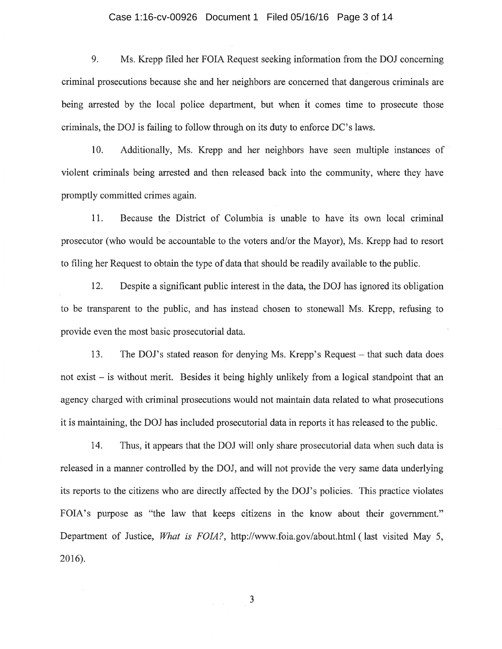#### Case 1:16-cv-00926 Document 1 Filed 05/16/16 Page 3 of 14

9. Ms. Krepp filed her FOIA Request seeking information from the DOJ concerning criminal prosecutions because she and her neighbors are concerned that dangerous criminals are being arrested by the local police department, but when it comes time to prosecute those criminals, the DOJ is failing to follow through on its duty to enforce DC's laws.

10. Additionally, Ms. Krepp and her neighbors have seen multiple instances of violent criminals being arrested and then released back into the community, where they have promptly committed crimes again.

<sup>1</sup>1. Because the District of Columbia is unable to have its own local criminal prosecutor (who would be accountable to the voters and/or the Mayor), Ms. Krepp had to resort to filing her Request to obtain the type of data that should be readily available to the public.

12. Despite a significant public interest in the data, the DOJ has ignored its obligation to be transparent to the public, and has instead chosen to stonewall Ms. Krepp, refusing to provide even the most basic prosecutorial data.

13. The DOJ's stated reason for denying Ms. Krepp's Request – that such data does not exist – is without merit. Besides it being highly unlikely from a logical standpoint that an agency charged with criminal prosecutions would not maintain data related to what prosecutions it is maintaining, the DOJ has included prosecutorial data in reports it has released to the public.

14. Thus, it appears that the DOJ will only share prosecutorial data when such data is released in a manner controlled by the DOJ, and will not provide the very same data underlying its reports to the citizens who are directly affected by the DOJ's policies. This practice violates FOIA's purpose as "the law that keeps citizens in the know about their government." Department of Justice, What is FOIA?, http://www.foia.gov/about.html ( last visited May 5, 2016).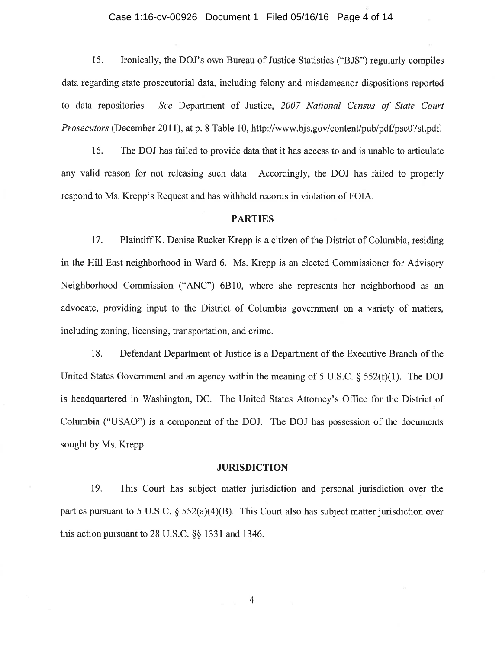#### Case 1:16-cv-00926 Document 1 Filed 05/16/16 Page 4 of 14

15. Ironically, the DOJ's own Bureau of Justice Statistics ("BJS") regularly compiles data regarding state prosecutorial data, including felony and misdemeanor dispositions reported to data repositories. See Department of Justice, 2007 National Census of State Court Prosecutors (December 20II), at p. 8 Table 10, http://www.bjs.gov/contentþub/pdf/psc07st.pdf.

16. The DOJ has failed to provide data that it has access to and is unable to articulate any valid reason for not releasing such data. Accordingly, the DOJ has failed to properly respond to Ms. Krepp's Request and has withheld records in violation of FOIA.

## **PARTIES**

<sup>17</sup>. Plaintiff K. Denise Rucker Krepp is a citizen of the District of Columbia, residing in the Hill East neighborhood in Ward 6. Ms. Krepp is an elected Commissioner for Advisory Neighborhood Commission ("ANC") 6810, where she represents her neighborhood as an advocate, providing input to the District of Columbia government on a variety of matters, including zoning, licensing, transportation, and crime.

18. Defendant Department of Justice is a Department of the Executive Branch of the United States Government and an agency within the meaning of 5 U.S.C.  $\S$  552(f)(1). The DOJ is headquartered in Washington, DC. The United States Attorney's Office for the District of Columbia ("USAO") is a component of the DOJ. The DOJ has possession of the documents sought by Ms. Krepp.

#### **JURISDICTION**

19. This Court has subject matter jurisdiction and personal jurisdiction over the parties pursuant to 5 U.S.C.  $\S$  552(a)(4)(B). This Court also has subject matter jurisdiction over this action pursuant to 28 U.S.C.  $\S$ § 1331 and 1346.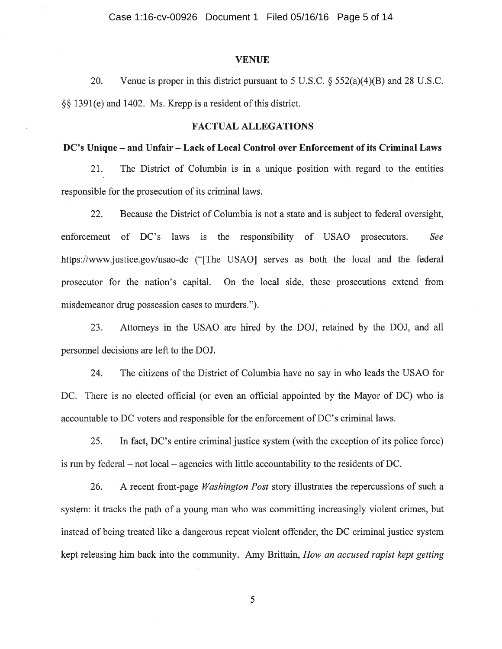### **VENUE**

20. Venue is proper in this district pursuant to 5 U.S.C.  $\S 552(a)(4)(B)$  and 28 U.S.C. \$\$ 1391(e) and 1402. Ms. Krepp is a resident of this district.

## FACTUAL ALLEGATIONS

## DC's Unique - and Unfair - Lack of Local Control over Enforcement of its Criminal Laws

21. The District of Columbia is in a unique position with regard to the entities responsible for the prosecution of its criminal laws.

22. Because the District of Columbia is not a state and is subject to federal oversight, enforcement of DC's laws is the responsibility of USAO prosecutors. See https://www.justice.gov/usao-dc ("[The USAO] serves as both the local and the federal prosecutor for the nation's capital. On the local side, these prosecutions extend from misdemeanor drug possession cases to murders.").

23. Attorneys in the USAO are hired by the DOJ, retained by the DOJ, and all personnel decisions are left to the DOJ.

24. The citizens of the District of Columbia have no say in who leads the USAO for DC. There is no elected official (or even an official appointed by the Mayor of DC) who is accountable to DC voters and responsible for the enforcement of DC's criminal laws.

 $25.$  In fact, DC's entire criminal justice system (with the exception of its police force) is run by federal  $-$  not local  $-$  agencies with little accountability to the residents of DC.

26. A recent front-page *Washington Post* story illustrates the repercussions of such a system: it tracks the path of a young man who was committing increasingly violent crimes, but instead of being treated like a dangerous repeat violent offender, the DC criminal justice system kept releasing him back into the community. Amy Brittain, How an accused rapist kept getting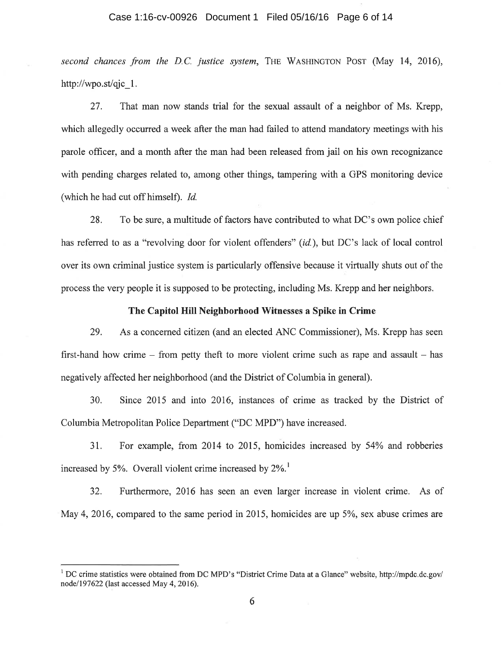### Case 1:16-cv-00926 Document 1 Filed 05/16/16 Page 6 of 14

second chances from the D.C. justice system, THE WASHINGTON POST (May  $14$ , 2016), http://wpo.st/qjc 1.

27. That man now stands trial for the sexual assault of a neighbor of Ms. Krepp, which allegedly occurred a week after the man had failed to attend mandatory meetings with his parole officer, and a month after the man had been released from jail on his own recognizance with pending charges related to, among other things, tampering with a GPS monitoring device (which he had cut off himself). Id.

28. To be sure, a multitude of factors have contributed to what DC's own police chief has referred to as a "revolving door for violent offenders" (id.), but DC's lack of local control over its own criminal justice system is particularly offensive because it virtually shuts out of the process the very people it is supposed to be protecting, including Ms. Krepp and her neighbors.

## The Capitol Hill Neighborhood Witnesses a Spike in Crime

29. As a concerned citizen (and an elected ANC Commissioner), Ms. Krepp has seen first-hand how crime  $-$  from petty theft to more violent crime such as rape and assault  $-$  has negatively affected her neighborhood (and the District of Columbia in general).

30. Since 2015 and into 2016, instances of crime as tracked by the District of Columbia Metropolitan Police Department ("DC MPD") have increased.

31. For example, from 2014 to 2015, homicides increased by 54% and robberies increased by 5%. Overall violent crime increased by  $2\%$ .

32. Furthermore, 2016 has seen an even larger increase in violent crime. As of May 4, 2016, compared to the same period in 2015, homicides are up 5%, sex abuse crimes are

<sup>&</sup>lt;sup>1</sup> DC crime statistics were obtained from DC MPD's "District Crime Data at a Glance" website, http://mpdc.dc.gov/ node/197622 (last accessed May 4, 2016).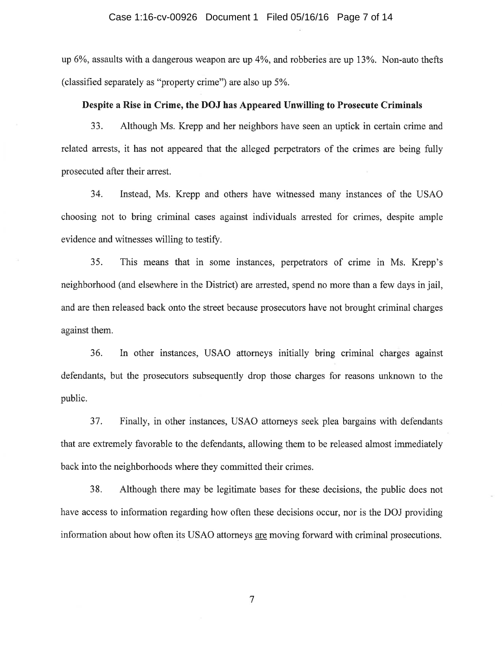up  $6\%$ , assaults with a dangerous weapon are up  $4\%$ , and robberies are up  $13\%$ . Non-auto thefts (classified separately as "property crime") are also up  $5\%$ .

## Despite a Rise in Crime, the DOJ has Appeared Unwilling to Prosecute Criminals

33. Although Ms. Krepp and her neighbors have seen an uptick in certain crime and related arrests, it has not appeared that the alleged perpetrators of the crimes are being fully prosecuted after their arrest.

34. Instead, Ms. Krepp and others have witnessed many instances of the USAO choosing not to bring criminal cases against individuals arrested for crimes, despite ample evidence and witnesses willing to testify.

35. This means that in some instances, perpetrators of crime in Ms. Krepp's neighborhood (and elsewhere in the District) are arrested, spend no more than a few days in jail, and are then released back onto the street because prosecutors have not brought criminal charges against them.

36. In other instances, USAO attorneys initially bring criminal charges against defendants, but the prosecutors subsequently drop those charges for reasons unknown to the public.

37. Finally, in other instances, USAO attorneys seek plea bargains with defendants that are extremely favorable to the defendants, allowing them to be released almost immediately back into the neighborhoods where they committed their crimes.

38. Although there may be legitimate bases for these decisions, the public does not have access to information regarding how often these decisions occur, nor is the DOJ providing information about how often its USAO attorneys are moving forward with criminal prosecutions.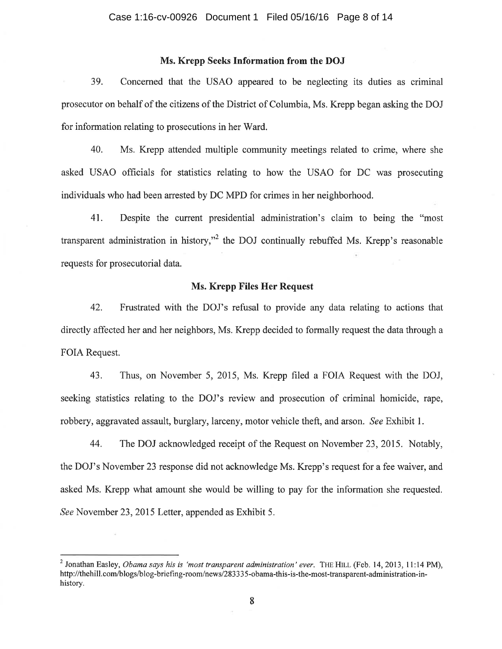## Ms. Krepp Seeks Information from the DOJ

39. Concerned that the USAO appeared to be neglecting its duties as criminal prosecutor on behalf of the citizens of the District of Columbia, Ms. Krepp began asking the DOJ for information relating to prosecutions in her Ward.

40. Ms. Krepp attended multiple community meetings related to crime, where she asked USAO officials for statistics relating to how the USAO for DC was prosecuting individuals who had been arrested by DC MPD for crimes in her neighborhood.

41. Despite the current presidential administration's claim to being the "most" transparent administration in history,"<sup>2</sup> the DOJ continually rebuffed Ms. Krepp's reasonable requests for prosecutorial data.

## Ms. Krepp Files Her Request

42. Frustrated with the DOJ's refusal to provide any data relating to actions that directly affected her and her neighbors, Ms. Krepp decided to formally request the data through a FOIA Request.

43. Thus, on November 5, 2015, Ms. Krepp filed a FOIA Request with the DOJ, seeking statistics relating to the DOJ's review and prosecution of criminal homicide, rape, robbery, aggravated assault, burglary, larceny, motor vehicle theft, and arson. See Exhibit 1.

44. The DOJ acknowledged receipt of the Request on November 23,2015. Notably, the DOJ's November 23 response did not acknowledge Ms. Krepp's request for a fee waiver, and asked Ms. Krepp what amount she would be willing to pay for the information she requested. See November 23, 2015 Letter, appended as Exhibit 5.

<sup>&</sup>lt;sup>2</sup> Jonathan Easley, *Obama says his is 'most transparent administration' ever.* THE HILL (Feb. 14, 2013, 11:14 PM), http://thehill.com/blogs/blog-briefing-room/news/283335-obama-this-is-the-most-transparent-administration-inhistory.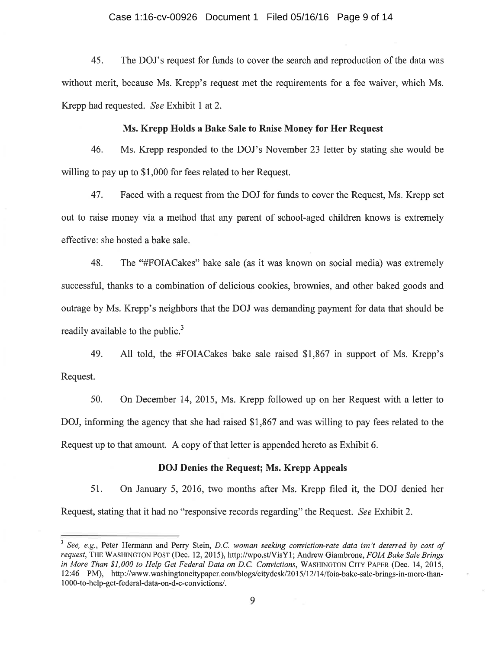#### Case 1:16-cv-00926 Document 1 Filed 05/16/16 Page 9 of 14

45. The DOJ's request for funds to cover the search and reproduction of the data was without merit, because Ms. Krepp's request met the requirements for a fee waiver, which Ms. Krepp had requested. See Exhibit I at2.

## Ms. Krepp Holds a Bake Sale to Raise Money for Her Request

46. Ms. Krepp responded to the DOJ's November 23 letter by stating she would be willing to pay up to \$1,000 for fees related to her Request.

47. Faced with a request from the DOJ for funds to cover the Request, Ms. Krepp set out to raise money via a method that any parent of school-aged children knows is extremely effective: she hosted a bake sale.

48. The "#FOIACakes" bake sale (as it was known on social media) was extremely successful, thanks to a combination of delicious cookies, brownies, and other baked goods and outrage by Ms. Krepp's neighbors that the DOJ was demanding payment for data that should be readily available to the public.<sup>3</sup>

49. All told, the #FOIACakes bake sale raised \$1,867 in support of Ms. Krepp's Request.

50. On December 14,2015, Ms. Krepp followed up on her Request with a letter to DOJ, informing the agency that she had raised \$1,867 and was willing to pay fees related to the Request up to that amount. A copy of that letter is appended hereto as Exhibit 6.

## DOJ Denies the Request; Ms. Krepp Appeals

51. On January 5,2016, two months after Ms. Krepp filed it, the DOJ denied her Request, stating that it had no "responsive records regarding" the Request. See Exhibit 2.

 $3$  See, e.g., Peter Hermann and Perry Stein, D.C. woman seeking conviction-rate data isn't deterred by cost of request, THE WASHINGTON POST (Dec. 12, 2015), http://wpo.st/VisY1; Andrew Giambrone, FOIA Bake Sale Brings in More Than \$1,000 to Help Get Federal Data on D.C. Convictions, WASHINGTON CITY PAPER (Dec. 14, 2015, 12:46 PM), http://www.washingtoncitypaper.com/blogs/citydesk/2015112114/foia-bake-sale-brings-in-more-than-I 000-to-help-get-federal-data-on-d-c-convictions/.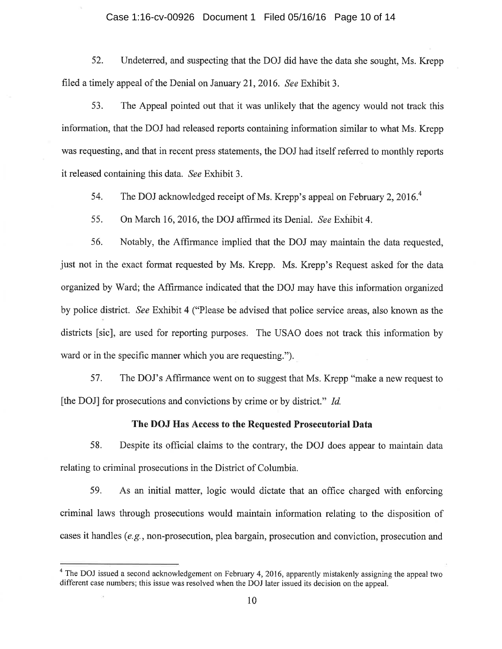### Case 1:16-cv-00926 Document 1 Filed 05/16/16 Page 10 of 14

52. Undeterred, and suspecting that the DOJ did have the data she sought, Ms. Krepp filed a timely appeal of the Denial on January 21, 2016. See Exhibit 3.

53. The Appeal pointed out that it was unlikely that the agency would not track this information, that the DOJ had released reports containing information similar to what Ms. Krepp was requesting, and that in recent press statements, the DOJ had itself refened to monthly reports it released containing this data. See Exhibit 3.

54. The DOJ acknowledged receipt of Ms. Krepp's appeal on February 2, 2016.<sup>4</sup>

55. On March 16, 2016, the DOJ affirmed its Denial. See Exhibit 4.

56. Notably, the Affirmance implied that the DOJ may maintain the data requested, just not in the exact format requested by Ms. Krepp. Ms. Krepp's Request asked for the data organized by Ward; the Affirmance indicated that the DOJ may have this information organized by police district. See Exhibit 4 ("Please be advised that police service areas, also known as the districts [sic], are used for reporting purposes. The USAO does not track this information by ward or in the specific manner which you are requesting.").

57. The DOJ's Affirmance went on to suggest that Ms. Krepp "make a new request to fthe DOJ] for prosecutions and convictions by crime or by district." Id.

# The DOJ Has Access to the Requested Prosecutorial Data

58. Despite its official claims to the contrary, the DOJ does appear to maintain data relating to criminal prosecutions in the District of Columbia.

59. As an initial matter, logic would dictate that an office charged with enforcing criminal laws through prosecutions would maintain information relating to the disposition of cases it handles (e.g., non-prosecution, plea bargain, prosecution and conviction, prosecution and

 $4$  The DOJ issued a second acknowledgement on February 4, 2016, apparently mistakenly assigning the appeal two different case numbers; this issue was resolved when the DOJ later issued its decision on the appeal.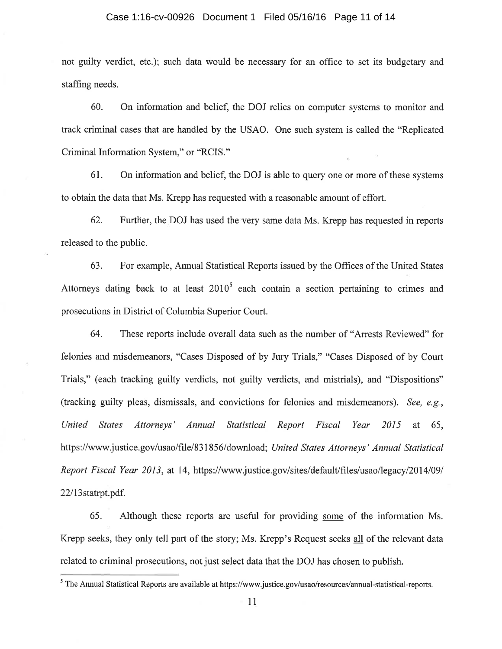### Case 1:16-cv-00926 Document 1 Filed 05/16/16 Page 11 of 14

not guilty verdict, etc.); such data would be necessary for an office to set its budgetary and staffing needs.

60. On information and belief, the DOJ relies on computer systems to monitor and track criminal cases that are handled by the USAO. One such system is called the "Replicated Criminal Information System," or "RCIS."

61. On information and belief, the DOJ is able to query one or more of these systems to obtain the data that Ms. Krepp has requested with a reasonable amount of effort.

62. Further, the DOJ has used the very same data Ms. Krepp has requested in reports released to the public.

63. For example, Annual Statistical Reports issued by the Offices of the United States Attorneys dating back to at least  $2010<sup>5</sup>$  each contain a section pertaining to crimes and prosecutions in District of Columbia Superior Court.

64. These reports include overall data such as the number of "Arrests Reviewed" for felonies and misdemeanors, "Cases Disposed of by Jury Trials," "Cases Disposed of by Court Trials," (each tracking guilty verdicts, not guilty verdicts, and mistrials), and "Dispositions" (tracking guilty pleas, dismissals, and convictions for felonies and misdemeanors). See, e.g., United States Attorneys' Annual Statistical Report Fiscal Year 2015 at 65, https://www.justice.gov/usao/file/831856/download; United States Attorneys' Annual Statistical Report Fiscal Year 2013, at 14, https://www.justice.gov/sites/default/files/usao/legacy/2014/09/ 22l13statrpt.pdf.

65. Although these reports are useful for providing some of the information Ms. Krepp seeks, they only tell part of the story; Ms. Krepp's Request seeks all of the relevant data related to criminal prosecutions, not just select data that the DOJ has chosen to publish.

<sup>&</sup>lt;sup>5</sup> The Annual Statistical Reports are available at https://www.justice.gov/usao/resources/annual-statistical-reports.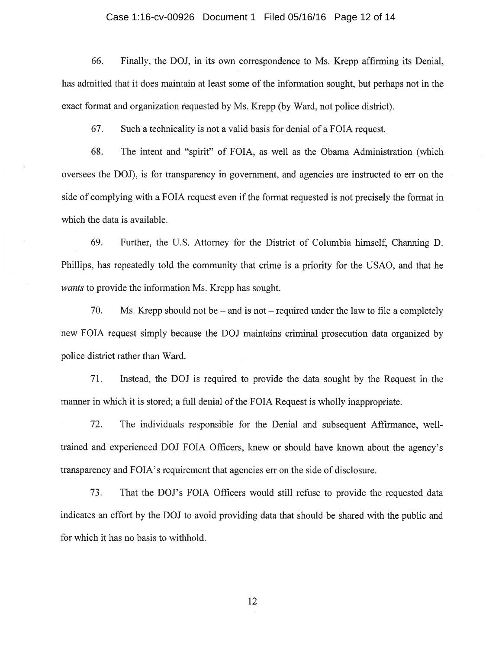#### Case 1:16-cv-00926 Document 1 Filed 05/16/16 Page 12 of 14

66. Finally, the DOJ, in its own correspondence to Ms. Krepp affirming its Denial, has admitted that it does maintain at least some of the information sought, but perhaps not in the exact format and organization requested by Ms. Krepp (by Ward, not police district).

67. Such a technicality is not a valid basis for denial of a FOIA request.

68. The intent and "spirit" of FOIA, as well as the Obama Administration (which oversees the DOJ), is for transparency in government, and agencies are instructed to err on the side of complying with a FOIA request even if the format requested is not precisely the format in which the data is available.

69. Further, the U.S. Attorney for the District of Columbia himself, Channing D. Phillips, has repeatedly told the community that crime is a priority for the USAO, and that he wants to provide the information Ms. Krepp has sought.

70. Ms. Krepp should not be - and is not - required under the law to file a completely new FOIA request simply because the DOJ maintains criminal prosecution data organized by police district rather than Ward.

7I. Instead, the DOJ is required to provide the data sought by the Request in the manner in which it is stored; a full denial of the FOIA Request is wholly inappropriate.

72. The individuals responsible for the Denial and subsequent Affrrmance, welltrained and experienced DOJ FOIA Officers, knew or should have known about the agency's transparency and FOIA's requirement that agencies err on the side of disclosure.

73. That the DOJ's FOIA Officers would still refuse to provide the requested data indicates an effort by the DOJ to avoid providing data that should be shared with the public and for which it has no basis to withhold.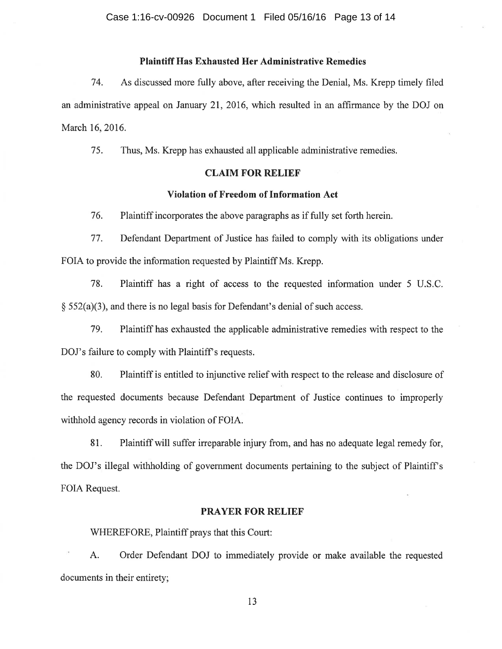## Plaintiff Has Exhausted Her Administrative Remedies

74. As discussed more fully above, after receiving the Denial, Ms. Krepp timely filed an administrative appeal on January 2I,2016, which resulted in an affirmance by the DOJ on March 16,2016.

75. Thus, Ms. Krepp has exhausted all applicable administrative remedies.

## CLAIM FOR RELIEF

## Violation of Freedom of Information Act

76. Plaintiff incorporates the above paragraphs as if fully set forth herein.

77. Defendant Department of Justice has failed to comply with its obligations under FOIA to provide the information requested by Plaintiff Ms. Krepp.

78. Plaintiff has a right of access to the requested information under 5 U.S.C,  $\S$  552(a)(3), and there is no legal basis for Defendant's denial of such access.

79. Plaintiff has exhausted the applicable administrative remedies with respect to the DOJ's failure to comply with Plaintiff's requests.

80. Plaintiff is entitled to injunctive relief with respect to the release and disclosure of the requested documents because Defendant Department of Justice continues to improperly withhold agency records in violation of FOIA.

81. Plaintiff will suffer irreparable injury from, and has no adequate legal remedy for, the DOJ's illegal withholding of government documents pertaining to the subject of Plaintiff's FOIA Request.

### PRAYER FOR RELIEF

WHEREFORE, Plaintiff prays that this Court:

A. Order Defendant DOJ to immediately provide or make available the requested documents in their entirety;